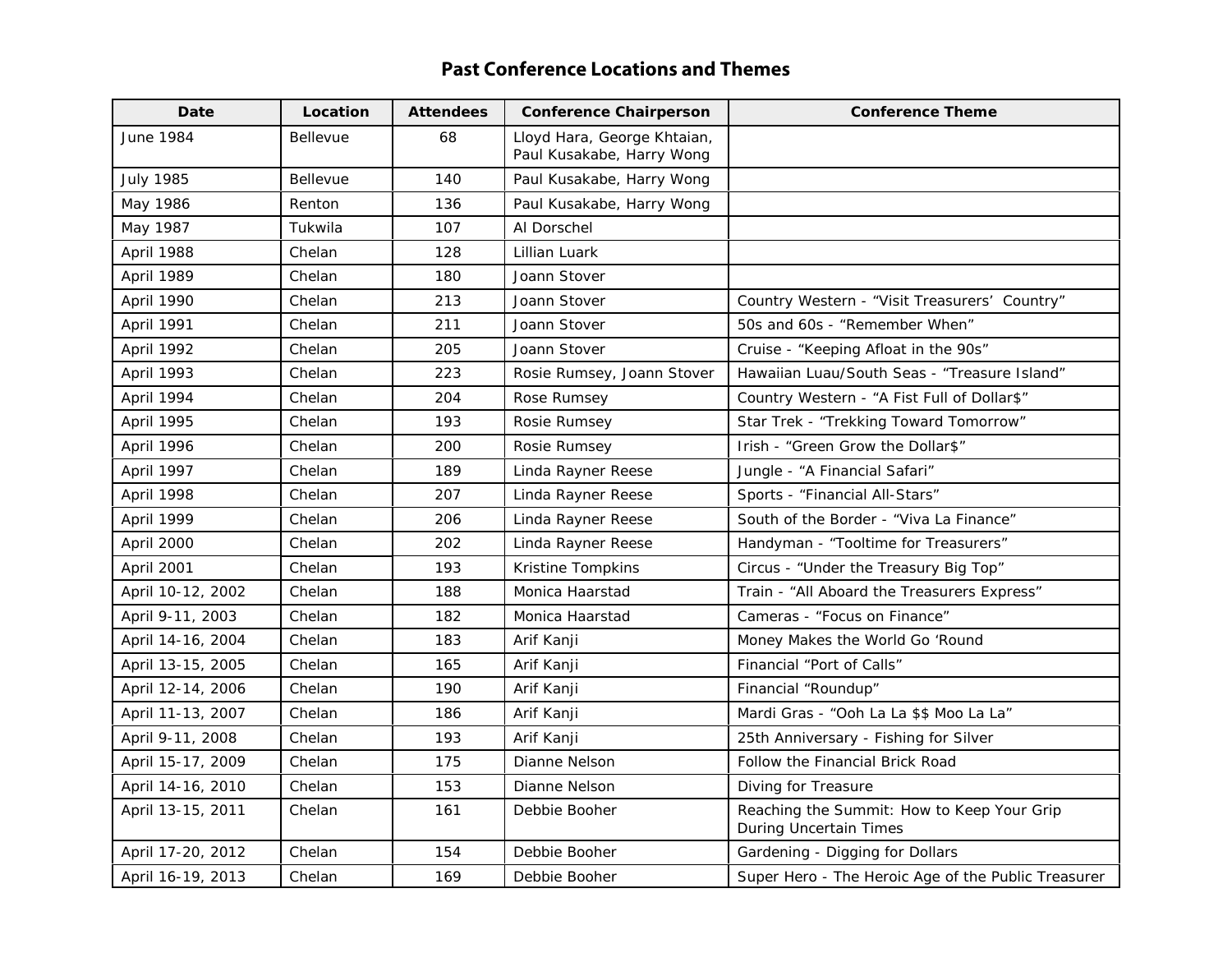## **Past Conference Locations and Themes**

| Date              | Location        | <b>Attendees</b> | <b>Conference Chairperson</b>                            | <b>Conference Theme</b>                                                     |
|-------------------|-----------------|------------------|----------------------------------------------------------|-----------------------------------------------------------------------------|
| <b>June 1984</b>  | <b>Bellevue</b> | 68               | Lloyd Hara, George Khtaian,<br>Paul Kusakabe, Harry Wong |                                                                             |
| <b>July 1985</b>  | <b>Bellevue</b> | 140              | Paul Kusakabe, Harry Wong                                |                                                                             |
| May 1986          | Renton          | 136              | Paul Kusakabe, Harry Wong                                |                                                                             |
| May 1987          | Tukwila         | 107              | Al Dorschel                                              |                                                                             |
| April 1988        | Chelan          | 128              | Lillian Luark                                            |                                                                             |
| April 1989        | Chelan          | 180              | Joann Stover                                             |                                                                             |
| April 1990        | Chelan          | 213              | Joann Stover                                             | Country Western - "Visit Treasurers' Country"                               |
| April 1991        | Chelan          | 211              | Joann Stover                                             | 50s and 60s - "Remember When"                                               |
| April 1992        | Chelan          | 205              | Joann Stover                                             | Cruise - "Keeping Afloat in the 90s"                                        |
| April 1993        | Chelan          | 223              | Rosie Rumsey, Joann Stover                               | Hawaiian Luau/South Seas - "Treasure Island"                                |
| April 1994        | Chelan          | 204              | Rose Rumsey                                              | Country Western - "A Fist Full of Dollar\$"                                 |
| April 1995        | Chelan          | 193              | Rosie Rumsey                                             | Star Trek - "Trekking Toward Tomorrow"                                      |
| April 1996        | Chelan          | 200              | Rosie Rumsey                                             | Irish - "Green Grow the Dollar\$"                                           |
| April 1997        | Chelan          | 189              | Linda Rayner Reese                                       | Jungle - "A Financial Safari"                                               |
| April 1998        | Chelan          | 207              | Linda Rayner Reese                                       | Sports - "Financial All-Stars"                                              |
| April 1999        | Chelan          | 206              | Linda Rayner Reese                                       | South of the Border - "Viva La Finance"                                     |
| April 2000        | Chelan          | 202              | Linda Rayner Reese                                       | Handyman - "Tooltime for Treasurers"                                        |
| April 2001        | Chelan          | 193              | Kristine Tompkins                                        | Circus - "Under the Treasury Big Top"                                       |
| April 10-12, 2002 | Chelan          | 188              | Monica Haarstad                                          | Train - "All Aboard the Treasurers Express"                                 |
| April 9-11, 2003  | Chelan          | 182              | Monica Haarstad                                          | Cameras - "Focus on Finance"                                                |
| April 14-16, 2004 | Chelan          | 183              | Arif Kanji                                               | Money Makes the World Go 'Round                                             |
| April 13-15, 2005 | Chelan          | 165              | Arif Kanji                                               | Financial "Port of Calls"                                                   |
| April 12-14, 2006 | Chelan          | 190              | Arif Kanji                                               | Financial "Roundup"                                                         |
| April 11-13, 2007 | Chelan          | 186              | Arif Kanji                                               | Mardi Gras - "Ooh La La \$\$ Moo La La"                                     |
| April 9-11, 2008  | Chelan          | 193              | Arif Kanji                                               | 25th Anniversary - Fishing for Silver                                       |
| April 15-17, 2009 | Chelan          | 175              | Dianne Nelson                                            | <b>Follow the Financial Brick Road</b>                                      |
| April 14-16, 2010 | Chelan          | 153              | Dianne Nelson                                            | Diving for Treasure                                                         |
| April 13-15, 2011 | Chelan          | 161              | Debbie Booher                                            | Reaching the Summit: How to Keep Your Grip<br><b>During Uncertain Times</b> |
| April 17-20, 2012 | Chelan          | 154              | Debbie Booher                                            | Gardening - Digging for Dollars                                             |
| April 16-19, 2013 | Chelan          | 169              | Debbie Booher                                            | Super Hero - The Heroic Age of the Public Treasurer                         |